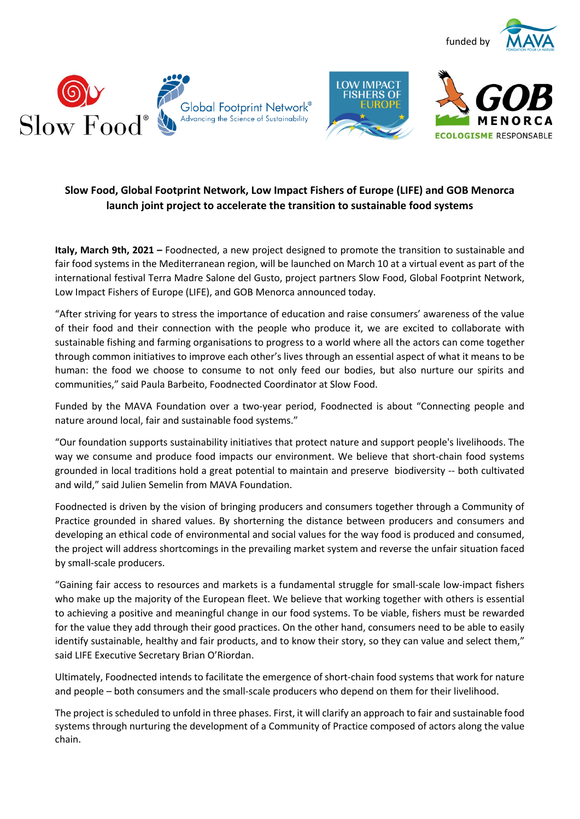







# **Slow Food, Global Footprint Network, Low Impact Fishers of Europe (LIFE) and GOB Menorca launch joint project to accelerate the transition to sustainable food systems**

**Italy, March 9th, 2021 –** Foodnected, a new project designed to promote the transition to sustainable and fair food systems in the Mediterranean region, will be launched on March 10 at a virtual event as part of the international festival Terra Madre Salone del Gusto, project partners Slow Food, Global Footprint Network, Low Impact Fishers of Europe (LIFE), and GOB Menorca announced today.

"After striving for years to stress the importance of education and raise consumers' awareness of the value of their food and their connection with the people who produce it, we are excited to collaborate with sustainable fishing and farming organisations to progress to a world where all the actors can come together through common initiatives to improve each other's lives through an essential aspect of what it means to be human: the food we choose to consume to not only feed our bodies, but also nurture our spirits and communities," said Paula Barbeito, Foodnected Coordinator at Slow Food.

Funded by the MAVA Foundation over a two-year period, Foodnected is about "Connecting people and nature around local, fair and sustainable food systems."

"Our foundation supports sustainability initiatives that protect nature and support people's livelihoods. The way we consume and produce food impacts our environment. We believe that short-chain food systems grounded in local traditions hold a great potential to maintain and preserve biodiversity -- both cultivated and wild," said Julien Semelin from MAVA Foundation.

Foodnected is driven by the vision of bringing producers and consumers together through a Community of Practice grounded in shared values. By shorterning the distance between producers and consumers and developing an ethical code of environmental and social values for the way food is produced and consumed, the project will address shortcomings in the prevailing market system and reverse the unfair situation faced by small-scale producers.

"Gaining fair access to resources and markets is a fundamental struggle for small-scale low-impact fishers who make up the majority of the European fleet. We believe that working together with others is essential to achieving a positive and meaningful change in our food systems. To be viable, fishers must be rewarded for the value they add through their good practices. On the other hand, consumers need to be able to easily identify sustainable, healthy and fair products, and to know their story, so they can value and select them," said LIFE Executive Secretary Brian O'Riordan.

Ultimately, Foodnected intends to facilitate the emergence of short-chain food systems that work for nature and people – both consumers and the small-scale producers who depend on them for their livelihood.

The project is scheduled to unfold in three phases. First, it will clarify an approach to fair and sustainable food systems through nurturing the development of a Community of Practice composed of actors along the value chain.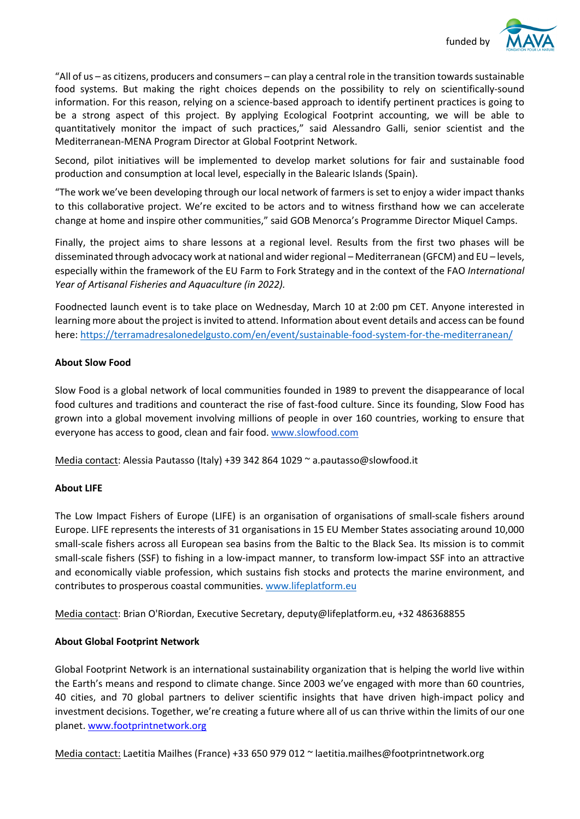

"All of us – as citizens, producers and consumers – can play a central role in the transition towards sustainable food systems. But making the right choices depends on the possibility to rely on scientifically-sound information. For this reason, relying on a science-based approach to identify pertinent practices is going to be a strong aspect of this project. By applying Ecological Footprint accounting, we will be able to quantitatively monitor the impact of such practices," said Alessandro Galli, senior scientist and the Mediterranean-MENA Program Director at Global Footprint Network.

Second, pilot initiatives will be implemented to develop market solutions for fair and sustainable food production and consumption at local level, especially in the Balearic Islands (Spain).

"The work we've been developing through our local network of farmers is set to enjoy a wider impact thanks to this collaborative project. We're excited to be actors and to witness firsthand how we can accelerate change at home and inspire other communities," said GOB Menorca's Programme Director Miquel Camps.

Finally, the project aims to share lessons at a regional level. Results from the first two phases will be disseminated through advocacy work at national and wider regional – Mediterranean (GFCM) and EU – levels, especially within the framework of the EU Farm to Fork Strategy and in the context of the FAO *International Year of Artisanal Fisheries and Aquaculture (in 2022).*

Foodnected launch event is to take place on Wednesday, March 10 at 2:00 pm CET. Anyone interested in learning more about the project is invited to attend. Information about event details and access can be found here: https://terramadresalonedelgusto.com/en/event/sustainable-food-system-for-the-mediterranean/

#### **About Slow Food**

Slow Food is a global network of local communities founded in 1989 to prevent the disappearance of local food cultures and traditions and counteract the rise of fast-food culture. Since its founding, Slow Food has grown into a global movement involving millions of people in over 160 countries, working to ensure that everyone has access to good, clean and fair food. www.slowfood.com

Media contact: Alessia Pautasso (Italy) +39 342 864 1029 ~ a.pautasso@slowfood.it

## **About LIFE**

The Low Impact Fishers of Europe (LIFE) is an organisation of organisations of small-scale fishers around Europe. LIFE represents the interests of 31 organisations in 15 EU Member States associating around 10,000 small-scale fishers across all European sea basins from the Baltic to the Black Sea. Its mission is to commit small-scale fishers (SSF) to fishing in a low-impact manner, to transform low-impact SSF into an attractive and economically viable profession, which sustains fish stocks and protects the marine environment, and contributes to prosperous coastal communities. www.lifeplatform.eu

Media contact: Brian O'Riordan, Executive Secretary, deputy@lifeplatform.eu, +32 486368855

#### **About Global Footprint Network**

Global Footprint Network is an international sustainability organization that is helping the world live within the Earth's means and respond to climate change. Since 2003 we've engaged with more than 60 countries, 40 cities, and 70 global partners to deliver scientific insights that have driven high-impact policy and investment decisions. Together, we're creating a future where all of us can thrive within the limits of our one planet. www.footprintnetwork.org

Media contact: Laetitia Mailhes (France) +33 650 979 012 ~ laetitia.mailhes@footprintnetwork.org